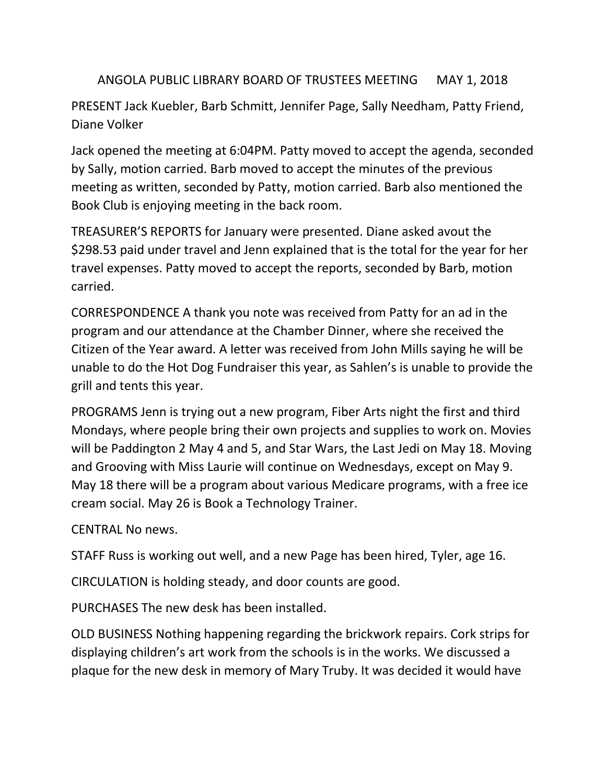ANGOLA PUBLIC LIBRARY BOARD OF TRUSTEES MEETING MAY 1, 2018

PRESENT Jack Kuebler, Barb Schmitt, Jennifer Page, Sally Needham, Patty Friend, Diane Volker

Jack opened the meeting at 6:04PM. Patty moved to accept the agenda, seconded by Sally, motion carried. Barb moved to accept the minutes of the previous meeting as written, seconded by Patty, motion carried. Barb also mentioned the Book Club is enjoying meeting in the back room.

TREASURER'S REPORTS for January were presented. Diane asked avout the \$298.53 paid under travel and Jenn explained that is the total for the year for her travel expenses. Patty moved to accept the reports, seconded by Barb, motion carried.

CORRESPONDENCE A thank you note was received from Patty for an ad in the program and our attendance at the Chamber Dinner, where she received the Citizen of the Year award. A letter was received from John Mills saying he will be unable to do the Hot Dog Fundraiser this year, as Sahlen's is unable to provide the grill and tents this year.

PROGRAMS Jenn is trying out a new program, Fiber Arts night the first and third Mondays, where people bring their own projects and supplies to work on. Movies will be Paddington 2 May 4 and 5, and Star Wars, the Last Jedi on May 18. Moving and Grooving with Miss Laurie will continue on Wednesdays, except on May 9. May 18 there will be a program about various Medicare programs, with a free ice cream social. May 26 is Book a Technology Trainer.

CENTRAL No news.

STAFF Russ is working out well, and a new Page has been hired, Tyler, age 16.

CIRCULATION is holding steady, and door counts are good.

PURCHASES The new desk has been installed.

OLD BUSINESS Nothing happening regarding the brickwork repairs. Cork strips for displaying children's art work from the schools is in the works. We discussed a plaque for the new desk in memory of Mary Truby. It was decided it would have